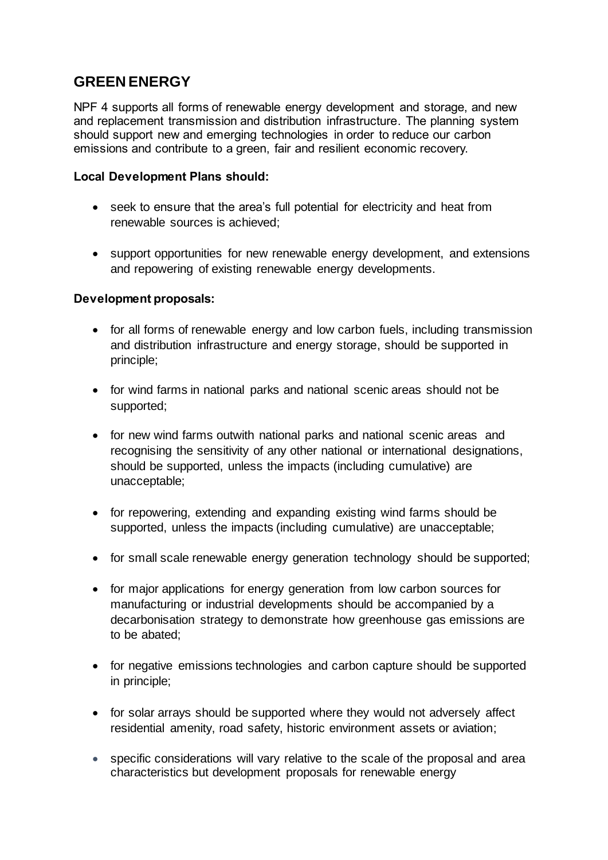# **GREEN ENERGY**

NPF 4 supports all forms of renewable energy development and storage, and new and replacement transmission and distribution infrastructure. The planning system should support new and emerging technologies in order to reduce our carbon emissions and contribute to a green, fair and resilient economic recovery.

## **Local Development Plans should:**

- seek to ensure that the area's full potential for electricity and heat from renewable sources is achieved;
- support opportunities for new renewable energy development, and extensions and repowering of existing renewable energy developments.

## **Development proposals:**

- for all forms of renewable energy and low carbon fuels, including transmission and distribution infrastructure and energy storage, should be supported in principle;
- for wind farms in national parks and national scenic areas should not be supported;
- for new wind farms outwith national parks and national scenic areas and recognising the sensitivity of any other national or international designations, should be supported, unless the impacts (including cumulative) are unacceptable;
- for repowering, extending and expanding existing wind farms should be supported, unless the impacts (including cumulative) are unacceptable;
- for small scale renewable energy generation technology should be supported;
- for major applications for energy generation from low carbon sources for manufacturing or industrial developments should be accompanied by a decarbonisation strategy to demonstrate how greenhouse gas emissions are to be abated;
- for negative emissions technologies and carbon capture should be supported in principle;
- for solar arrays should be supported where they would not adversely affect residential amenity, road safety, historic environment assets or aviation;
- specific considerations will vary relative to the scale of the proposal and area characteristics but development proposals for renewable energy